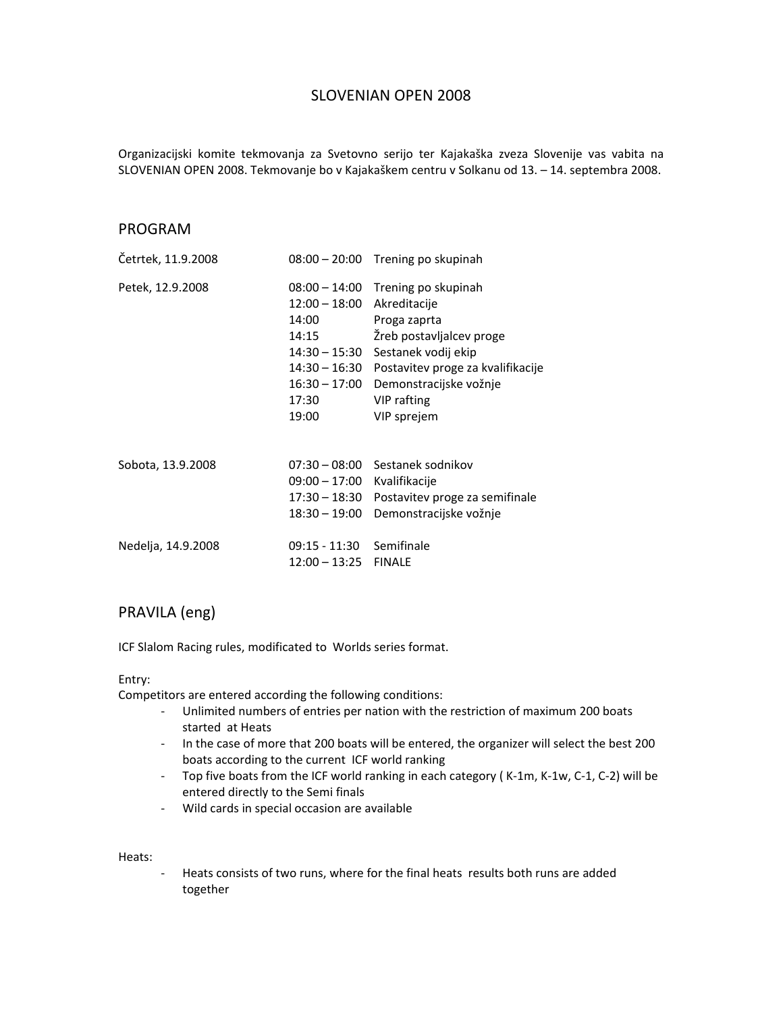## SLOVENIAN OPEN 2008

Organizacijski komite tekmovanja za Svetovno serijo ter Kajakaška zveza Slovenije vas vabita na SLOVENIAN OPEN 2008. Tekmovanje bo v Kajakaškem centru v Solkanu od 13. – 14. septembra 2008.

## PROGRAM

| Cetrtek, 11.9.2008 |                                                                                                                             | 08:00 - 20:00 Trening po skupinah                                                                                                                                                                   |
|--------------------|-----------------------------------------------------------------------------------------------------------------------------|-----------------------------------------------------------------------------------------------------------------------------------------------------------------------------------------------------|
| Petek, 12.9.2008   | $08:00 - 14:00$<br>$12:00 - 18:00$<br>14:00<br>14:15<br>14:30 – 15:30<br>14:30 – 16:30<br>$16:30 - 17:00$<br>17:30<br>19:00 | Trening po skupinah<br>Akreditacije<br>Proga zaprta<br>Žreb postavljalcev proge<br>Sestanek vodij ekip<br>Postavitev proge za kvalifikacije<br>Demonstracijske vožnje<br>VIP rafting<br>VIP sprejem |
| Sobota, 13.9.2008  | $09:00 - 17:00$<br>17:30 – 18:30<br>$18:30 - 19:00$                                                                         | 07:30 - 08:00 Sestanek sodnikov<br>Kvalifikacije<br>Postavitev proge za semifinale<br>Demonstracijske vožnje                                                                                        |
| Nedelja, 14.9.2008 | 09:15 - 11:30<br>$12:00 - 13:25$                                                                                            | Semifinale<br><b>FINALE</b>                                                                                                                                                                         |

## PRAVILA (eng)

ICF Slalom Racing rules, modificated to Worlds series format.

## Entry:

Competitors are entered according the following conditions:

- ‐ Unlimited numbers of entries per nation with the restriction of maximum 200 boats started at Heats
- ‐ In the case of more that 200 boats will be entered, the organizer will select the best 200 boats according to the current ICF world ranking
- ‐ Top five boats from the ICF world ranking in each category ( K‐1m, K‐1w, C‐1, C‐2) will be entered directly to the Semi finals
- ‐ Wild cards in special occasion are available

Heats:

‐ Heats consists of two runs, where for the final heats results both runs are added together